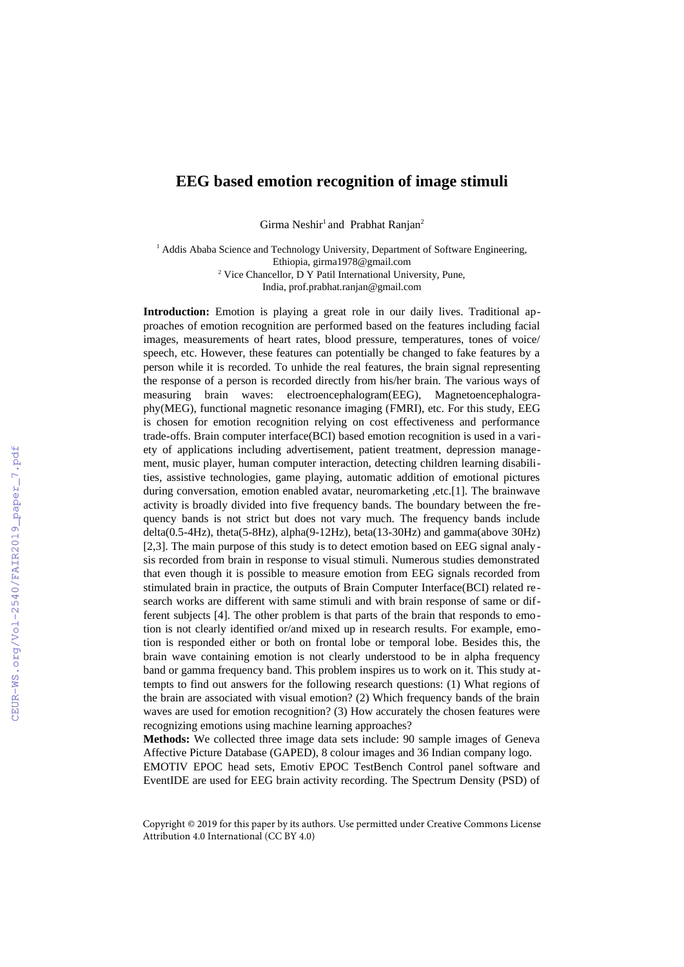## **EEG based emotion recognition of image stimuli**

Girma Neshir<sup>1</sup> and Prabhat Ranjan<sup>2</sup>

<sup>1</sup> Addis Ababa Science and Technology University, Department of Software Engineering, Ethiopia, [girma1978@gmail.com](mailto:girma1978@gmail.com) <sup>2</sup> Vice Chancellor, D Y Patil International University, Pune, India, prof.prabhat.ranjan@gmail.com

**Introduction:** Emotion is playing a great role in our daily lives. Traditional approaches of emotion recognition are performed based on the features including facial images, measurements of heart rates, blood pressure, temperatures, tones of voice/ speech, etc. However, these features can potentially be changed to fake features by a person while it is recorded. To unhide the real features, the brain signal representing the response of a person is recorded directly from his/her brain. The various ways of measuring brain waves: electroencephalogram(EEG), Magnetoencephalography(MEG), functional magnetic resonance imaging (FMRI), etc. For this study, EEG is chosen for emotion recognition relying on cost effectiveness and performance trade-offs. Brain computer interface(BCI) based emotion recognition is used in a variety of applications including advertisement, patient treatment, depression management, music player, human computer interaction, detecting children learning disabilities, assistive technologies, game playing, automatic addition of emotional pictures during conversation, emotion enabled avatar, neuromarketing ,etc.[1]. The brainwave activity is broadly divided into five frequency bands. The boundary between the frequency bands is not strict but does not vary much. The frequency bands include delta(0.5-4Hz), theta(5-8Hz), alpha(9-12Hz), beta(13-30Hz) and gamma(above 30Hz) [2,3]. The main purpose of this study is to detect emotion based on EEG signal analysis recorded from brain in response to visual stimuli. Numerous studies demonstrated that even though it is possible to measure emotion from EEG signals recorded from stimulated brain in practice, the outputs of Brain Computer Interface(BCI) related research works are different with same stimuli and with brain response of same or different subjects [4]. The other problem is that parts of the brain that responds to emotion is not clearly identified or/and mixed up in research results. For example, emotion is responded either or both on frontal lobe or temporal lobe. Besides this, the brain wave containing emotion is not clearly understood to be in alpha frequency band or gamma frequency band. This problem inspires us to work on it. This study attempts to find out answers for the following research questions: (1) What regions of the brain are associated with visual emotion? (2) Which frequency bands of the brain waves are used for emotion recognition? (3) How accurately the chosen features were recognizing emotions using machine learning approaches?

**Methods:** We collected three image data sets include: 90 sample images of Geneva Affective Picture Database (GAPED), 8 colour images and 36 Indian company logo.

EMOTIV EPOC head sets, Emotiv EPOC TestBench Control panel software and EventIDE are used for EEG brain activity recording. The Spectrum Density (PSD) of

Copyright © 2019 for this paper by its authors. Use permitted under Creative Commons License Attribution 4.0 International (CC BY 4.0)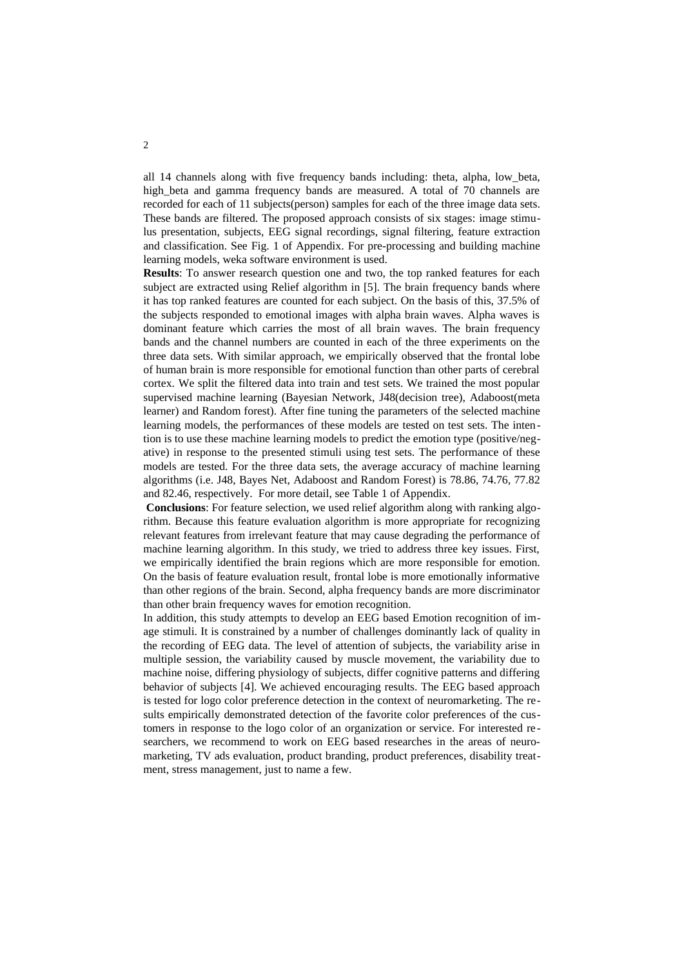all 14 channels along with five frequency bands including: theta, alpha, low\_beta, high\_beta and gamma frequency bands are measured. A total of 70 channels are recorded for each of 11 subjects(person) samples for each of the three image data sets. These bands are filtered. The proposed approach consists of six stages: image stimulus presentation, subjects, EEG signal recordings, signal filtering, feature extraction and classification. See Fig. 1 of Appendix. For pre-processing and building machine learning models, weka software environment is used.

**Results**: To answer research question one and two, the top ranked features for each subject are extracted using Relief algorithm in [5]. The brain frequency bands where it has top ranked features are counted for each subject. On the basis of this, 37.5% of the subjects responded to emotional images with alpha brain waves. Alpha waves is dominant feature which carries the most of all brain waves. The brain frequency bands and the channel numbers are counted in each of the three experiments on the three data sets. With similar approach, we empirically observed that the frontal lobe of human brain is more responsible for emotional function than other parts of cerebral cortex. We split the filtered data into train and test sets. We trained the most popular supervised machine learning (Bayesian Network, J48(decision tree), Adaboost(meta learner) and Random forest). After fine tuning the parameters of the selected machine learning models, the performances of these models are tested on test sets. The intention is to use these machine learning models to predict the emotion type (positive/negative) in response to the presented stimuli using test sets. The performance of these models are tested. For the three data sets, the average accuracy of machine learning algorithms (i.e. J48, Bayes Net, Adaboost and Random Forest) is 78.86, 74.76, 77.82 and 82.46, respectively. For more detail, see Table 1 of Appendix.

**Conclusions**: For feature selection, we used relief algorithm along with ranking algorithm. Because this feature evaluation algorithm is more appropriate for recognizing relevant features from irrelevant feature that may cause degrading the performance of machine learning algorithm. In this study, we tried to address three key issues. First, we empirically identified the brain regions which are more responsible for emotion. On the basis of feature evaluation result, frontal lobe is more emotionally informative than other regions of the brain. Second, alpha frequency bands are more discriminator than other brain frequency waves for emotion recognition.

In addition, this study attempts to develop an EEG based Emotion recognition of image stimuli. It is constrained by a number of challenges dominantly lack of quality in the recording of EEG data. The level of attention of subjects, the variability arise in multiple session, the variability caused by muscle movement, the variability due to machine noise, differing physiology of subjects, differ cognitive patterns and differing behavior of subjects [4]. We achieved encouraging results. The EEG based approach is tested for logo color preference detection in the context of neuromarketing. The results empirically demonstrated detection of the favorite color preferences of the customers in response to the logo color of an organization or service. For interested re searchers, we recommend to work on EEG based researches in the areas of neuromarketing, TV ads evaluation, product branding, product preferences, disability treatment, stress management, just to name a few.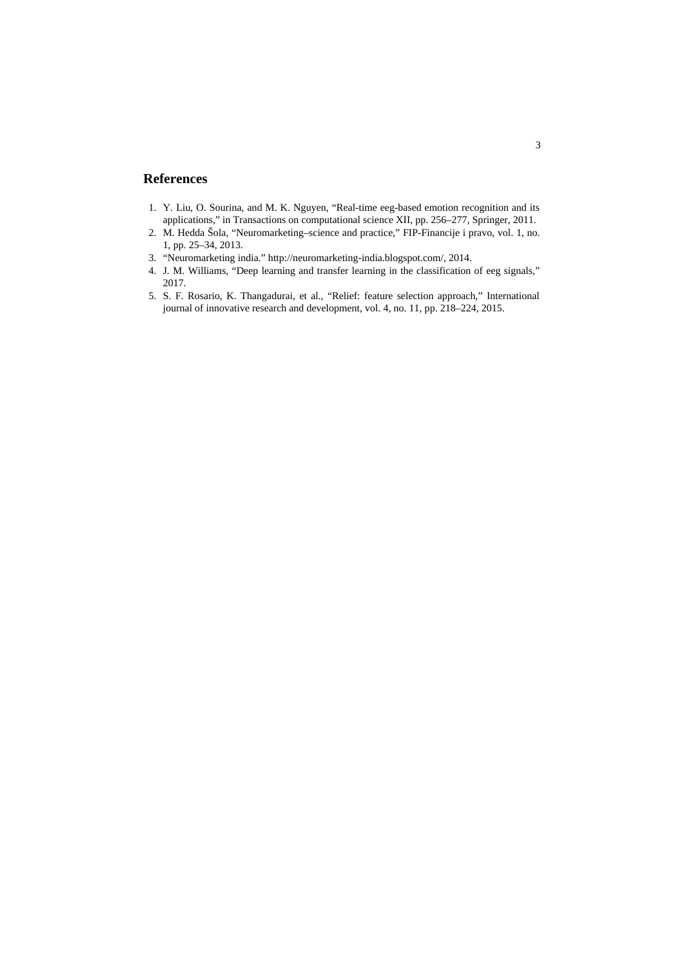## **References**

- 1. Y. Liu, O. Sourina, and M. K. Nguyen, "Real-time eeg-based emotion recognition and its applications," in Transactions on computational science XII, pp. 256–277, Springer, 2011.
- 2. M. Hedda Šola, "Neuromarketing–science and practice," FIP-Financije i pravo, vol. 1, no. 1, pp. 25–34, 2013.
- 3. "Neuromarketing india." http://neuromarketing-india.blogspot.com/, 2014.
- 4. J. M. Williams, "Deep learning and transfer learning in the classification of eeg signals," 2017.
- 5. S. F. Rosario, K. Thangadurai, et al., "Relief: feature selection approach," International journal of innovative research and development, vol. 4, no. 11, pp. 218–224, 2015.